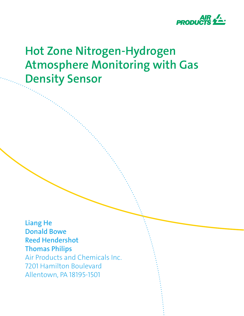

# **Hot Zone Nitrogen-Hydrogen Atmosphere Monitoring with Gas Density Sensor**

**Liang He Donald Bowe Reed Hendershot Thomas Philips** Air Products and Chemicals Inc.

7201 Hamilton Boulevard Allentown, PA 18195-1501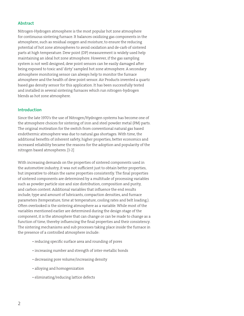# **Abstract**

Nitrogen-Hydrogen atmosphere is the most popular hot zone atmosphere for continuous sintering furnace. It balances oxidizing gas components in the atmosphere, such as residual oxygen and moisture, to ensure the reducing potential of hot zone atmospheres to avoid oxidation and de-carb of sintered parts at high temperature. Dew point (DP) measurement is widely used help maintaining an ideal hot zone atmosphere. However, if the gas sampling system is not well designed, dew point sensors can be easily damaged after being exposed to toxic and 'dirty' sampled hot zone atmosphere. A secondary atmosphere monitoring sensor can always help to monitor the furnace atmosphere and the health of dew point sensor. Air Products invented a quartz based gas density sensor for this application. It has been successfully tested and installed in several sintering furnaces which run nitrogen-hydrogen blends as hot zone atmosphere.

#### **Introduction**

Since the late 1970's the use of Nitrogen/Hydrogen systems has become one of the atmosphere choices for sintering of iron and steel powder metal (PM) parts. The original motivation for the switch from conventional natural gas based endothermic atmosphere was due to natural gas shortages. With time, the additional benefits of inherent safety, higher properties, better economics and increased reliability became the reasons for the adoption and popularity of the nitrogen based atmospheres. [1-2]

With increasing demands on the properties of sintered components used in the automotive industry, it was not sufficient just to obtain better properties, but imperative to obtain the same properties consistently. The final properties of sintered components are determined by a multitude of processing variables such as powder particle size and size distribution, composition and purity, and carbon content. Additional variables that influence the end results include, type and amount of lubricants, compaction densities, and furnace parameters (temperature, time at temperature, cooling rates and belt loading.). Often overlooked is the sintering atmosphere as a variable. While most of the variables mentioned earlier are determined during the design stage of the component, it is the atmosphere that can change or can be made to change as a function of time, thereby influencing the final properties and their consistency. The sintering mechanisms and sub processes taking place inside the furnace in the presence of a controlled atmosphere include:

- reducing specific surface area and rounding of pores
- increasing number and strength of inter-metallic bonds
- decreasing pore volume/increasing density
- alloying and homogenization
- eliminating/reducing lattice defects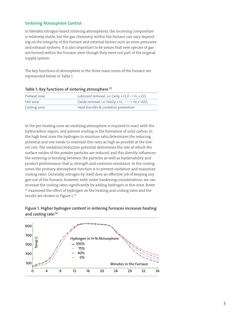# **Sintering Atmosphere Control**

In blended nitrogen-based sintering atmospheres, the incoming composition is relatively stable, but the gas chemistry within the furnace can vary depending on the integrity of the furnace and external factors such as room pressures and exhaust systems. It is also important to be aware that new species of gas are formed within the furnace, even though they were not part of the original supply system.

The key functions of atmosphere in the three main zones of the furnace are represented below in Table 1.

| Preheat zone | Lubricant removal, i.e. CxHy + H <sub>2</sub> O -> H <sub>2</sub> + CO, |
|--------------|-------------------------------------------------------------------------|
| Hot zone     | Oxide removal, i.e. FexOy + H <sub>2</sub> ------> Fe + H2O,            |
| Cooling zone | Heat transfer & oxidation prevention                                    |

**Table 1: Key functions of sintering atmosphere [1]**

In the pre-heating zone an oxidizing atmosphere is required to react with the hydrocarbon vapors, and prevent sooting or the formation of solid carbon. In the high heat zone the hydrogen to moisture ratio determines the reducing potential and one needs to maintain this ratio as high as possible at the lowest cost. The oxidation/reduction potential determines the rate at which the surface oxides of the powder particles are reduced, and this directly influences the sintering or bonding between the particles as well as hardenability and product performance, that is, strength and corrosion resistance. In the cooling zones the primary atmosphere function is to prevent oxidation and maximize cooling rates. Generally, nitrogen by itself does an effective job of keeping oxygen out of the furnace; however, with sinter hardening considerations, we can increase the cooling rates significantly by adding hydrogen in this zone. Bowe <sup>[3]</sup> examined the effect of hydrogen on the heating and cooling rates and the results are shown in Figure 1. [1]



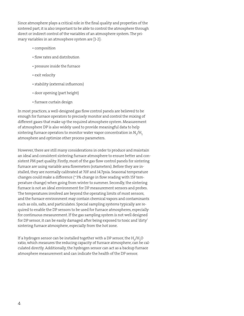Since atmosphere plays a critical role in the final quality and properties of the sintered part, it is also important to be able to control the atmosphere through direct or indirect control of the variables of an atmosphere system. The primary variables in an atmosphere system are [1-2]:

- composition
- flow rates and distribution
- pressure inside the furnace
- exit velocity
- stability (external influences)
- door opening (part height)
- furnace curtain design

In most practices, a well-designed gas flow control panels are believed to be enough for furnace operators to precisely monitor and control the mixing of different gases that make up the required atmosphere system. Measurement of atmosphere DP is also widely used to provide meaningful data to help sintering furnace operators to monitor water vapor concentration in  $\rm N\rm _2/H\rm _2$ atmosphere and optimize other process parameters.

However, there are still many considerations in order to produce and maintain an ideal and consistent sintering furnace atmosphere to ensure better and consistent PM part quality. Firstly, most of the gas flow control panels for sintering furnace are using variable area flowmeters (rotameters). Before they are installed, they are normally calibrated at 70F and 14.7psia. Seasonal temperature changes could make a difference (~3% change in flow reading with 15F temperature change) when going from winter to summer. Secondly, the sintering furnace is not an ideal environment for DP measurement sensors and probes. The temperatures involved are beyond the operating limits of most sensors, and the furnace environment may contain chemical vapors and contaminants such as oils, salts, and particulates. Special sampling systems typically are required to enable the DP sensors to be used for furnace atmospheres, especially for continuous measurement. If the gas sampling system is not well designed for DP sensor, it can be easily damaged after being exposed to toxic and 'dirty' sintering furnace atmosphere, especially from the hot zone.

If a hydrogen sensor can be installed together with a DP sensor, the  $\rm H_2/H_2O$ ratio, which measures the reducing capacity of furnace atmosphere, can be calculated directly. Additionally, the hydrogen sensor can act as a backup furnace atmosphere measurement and can indicate the health of the DP sensor.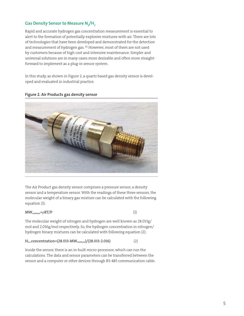# $\mathsf{Gas}$  Density Sensor to Measure N<sub>2</sub>/H<sub>2</sub>

Rapid and accurate hydrogen gas concentration measurement is essential to alert to the formation of potentially explosive mixtures with air. There are lots of technologies that have been developed and demonstrated for the detection and measurement of hydrogen gas. [4] However, most of them are not used by customers because of high cost and intensive maintenance. Simpler and universal solutions are in many cases more desirable and often more straightforward to implement as a plug-in sensor system.

In this study, as shown in Figure 2, a quartz based gas density sensor is developed and evaluated in industrial practice.



#### **Figure 2. Air Products gas density sensor**

The Air Product gas density sensor comprises a pressure sensor, a density sensor and a temperature sensor. With the readings of these three sensors, the molecular weight of a binary gas mixture can be calculated with the following equation (1):

#### $MW_{mixture} = \rho RT/P$  (1)

The molecular weight of nitrogen and hydrogen are well known as 28.013g/ mol and 2.016g/mol respectively. So, the hydrogen concentration in nitrogen/ hydrogen binary mixtures can be calculated with following equation (2):

#### $H<sub>2</sub>$  \_concentration=(28.013-MW $_{\rm mixture}$ )/(28.013-2.016) (2)

Inside the sensor, there is an in-built micro-processor, which can run the calculations. The data and sensor parameters can be transferred between the sensor and a computer or other devices through RS-485 communication cable.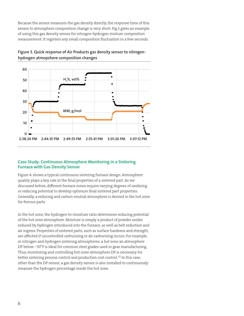Because the sensor measures the gas density directly, the response time of this sensor to atmosphere composition change is very short. Fig.3 gives an example of using this gas density sensor for nitrogen-hydrogen mixture composition measurement. It registers any small composition fluctuation in a few seconds.



# **Figure 3. Quick response of Air Products gas density sensor to nitrogenhydrogen atmopshere composition changes**

#### **Case Study: Continuous Atmosphere Monitoring in a Sintering Furnace with Gas Density Sensor**

Figure 4. shows a typical continuous sintering furnace design. Atmosphere quality plays a key role in the final properties of a sintered part. As we discussed before, different furnace zones require varying degrees of oxidizing or reducing potential to develop optimum final sintered part properties. Generally, a reducing and carbon-neutral atmosphere is desired in the hot zone for ferrous parts.

In the hot zone, the hydrogen-to-moisture ratio determines reducing potential of the hot zone atmosphere. Moisture is simply a product of powder oxides reduced by hydrogen introduced into the furnace, as well as belt reduction and air ingress. Properties of sintered parts, such as surface hardness and strength, are affected if uncontrolled carburizing or de-carburizing occurs. For example, in nitrogen and hydrogen sintering atmospheres, a hot zone an atmosphere DP below −30°F is ideal for common steel grades used in gear manufacturing. Thus, monitoring and controlling hot-zone atmosphere DP is necessary for better sintering process control and production cost control. [5] In this case, other than the DP sensor, a gas density sensor is also installed to continuously measure the hydrogen percentage inside the hot zone.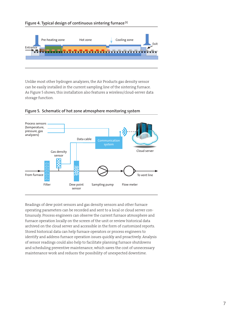



Unlike most other hydrogen analyzers, the Air Products gas density sensor can be easily installed in the current sampling line of the sintering furnace. As Figure 5 shows, this installation also features a wireless/cloud-server data storage function.



## **Figure 5. Schematic of hot zone atmosphere monitoring system**

Readings of dew point sensors and gas density sensors and other furnace operating parameters can be recorded and sent to a local or cloud server continuously. Process engineers can observe the current furnace atmosphere and furnace operation locally on the screen of the unit or review historical data archived on the cloud server and accessible in the form of customized reports. Stored historical data can help furnace operators or process engineers to identify and address furnace operation issues quickly and proactively. Analysis of sensor readings could also help to facilitate planning furnace shutdowns and scheduling preventive maintenance, which saves the cost of unnecessary maintenance work and reduces the possibility of unexpected downtime.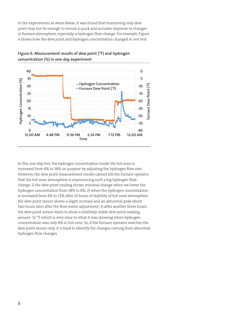In the experiments at Ames Reese, it was found that monitoring only dew point may not be enough to ensure a quick and accurate response to changes in furnace atmosphere, especially a hydrogen flow change. For example, Figure 6 shows how the dew point and hydrogen concentration changed in one test.



**Figure 6. Measurement results of dew point (°F) and hydrogen concentration (%) in one-day experiment**

In this one-day test, the hydrogen concentration inside the hot zone is increased from 8% to 38% on purpose by adjusting the hydrogen flow rate. However, the dew point measurement results cannot tell the furnace operator that the hot zone atmosphere is experiencing such a big hydrogen flow change: 1) the dew point reading shows minimal change when we lower the hydrogen concentration from 38% to 8%; 2) when the hydrogen concentration is increased from 8% to 22% after 10 hours of stability of hot zone atmosphere, the dew point sensor shows a slight increase and an abnormal peak about two hours later after the flow meter adjustment; 3) after another three hours, the dew point sensor starts to show a relatively stable dew point reading, around -32 °F, which is very close to what it was showing when hydrogen concentration was only 8% in hot zone. So, if the furnace operator watches the dew point sensor only, it is hard to identify the changes coming from abnormal hydrogen flow changes.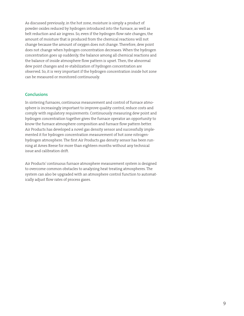As discussed previously, in the hot zone, moisture is simply a product of powder oxides reduced by hydrogen introduced into the furnace, as well as belt reduction and air ingress. So, even if the hydrogen flow rate changes, the amount of moisture that is produced from the chemical reactions will not change because the amount of oxygen does not change. Therefore, dew point does not change when hydrogen concentration decreases. When the hydrogen concentration goes up suddenly, the balance among all chemical reactions and the balance of inside atmosphere flow pattern is upset. Then, the abnormal dew point changes and re-stabilization of hydrogen concentration are observed. So, it is very important if the hydrogen concentration inside hot zone can be measured or monitored continuously.

#### **Conclusions**

In sintering furnaces, continuous measurement and control of furnace atmosphere is increasingly important to improve quality control, reduce costs and comply with regulatory requirements. Continuously measuring dew point and hydrogen concentration together gives the furnace operator an opportunity to know the furnace atmosphere composition and furnace flow pattern better. Air Products has developed a novel gas density sensor and successfully implemented it for hydrogen concentration measurement of hot zone nitrogenhydrogen atmosphere. The first Air Products gas density sensor has been running at Ames Reese for more than eighteen months without any technical issue and calibration drift.

Air Products' continuous furnace atmosphere measurement system is designed to overcome common obstacles to analyzing heat treating atmospheres. The system can also be upgraded with an atmosphere control function to automatically adjust flow rates of process gases.